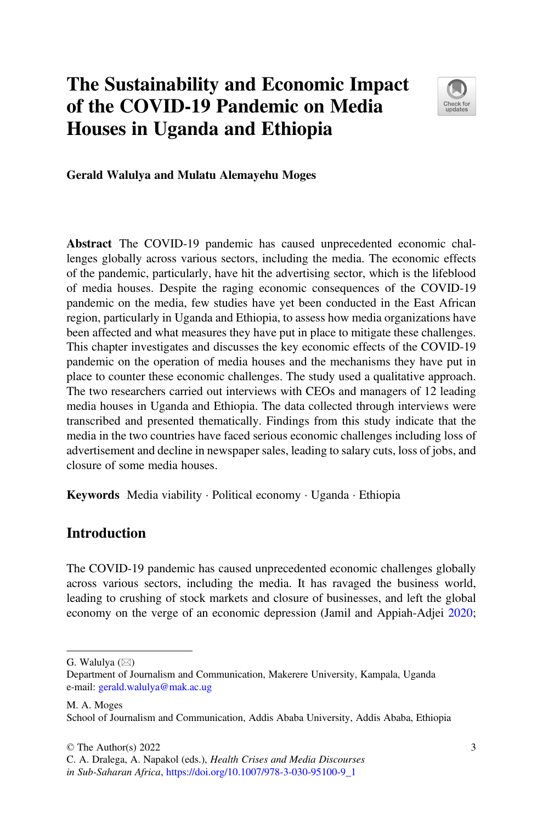# The Sustainability and Economic Impact of the COVID-19 Pandemic on Media Houses in Uganda and Ethiopia



#### Gerald Walulya and Mulatu Alemayehu Moges

Abstract The COVID-19 pandemic has caused unprecedented economic challenges globally across various sectors, including the media. The economic effects of the pandemic, particularly, have hit the advertising sector, which is the lifeblood of media houses. Despite the raging economic consequences of the COVID-19 pandemic on the media, few studies have yet been conducted in the East African region, particularly in Uganda and Ethiopia, to assess how media organizations have been affected and what measures they have put in place to mitigate these challenges. This chapter investigates and discusses the key economic effects of the COVID-19 pandemic on the operation of media houses and the mechanisms they have put in place to counter these economic challenges. The study used a qualitative approach. The two researchers carried out interviews with CEOs and managers of 12 leading media houses in Uganda and Ethiopia. The data collected through interviews were transcribed and presented thematically. Findings from this study indicate that the media in the two countries have faced serious economic challenges including loss of advertisement and decline in newspaper sales, leading to salary cuts, loss of jobs, and closure of some media houses.

Keywords Media viability · Political economy · Uganda · Ethiopia

## Introduction

The COVID-19 pandemic has caused unprecedented economic challenges globally across various sectors, including the media. It has ravaged the business world, leading to crushing of stock markets and closure of businesses, and left the global economy on the verge of an economic depression (Jamil and Appiah-Adjei [2020;](#page-13-0)

G. Walulya  $(\boxtimes)$ 

Department of Journalism and Communication, Makerere University, Kampala, Uganda e-mail: [gerald.walulya@mak.ac.ug](mailto:gerald.walulya@mak.ac.ug)

M. A. Moges School of Journalism and Communication, Addis Ababa University, Addis Ababa, Ethiopia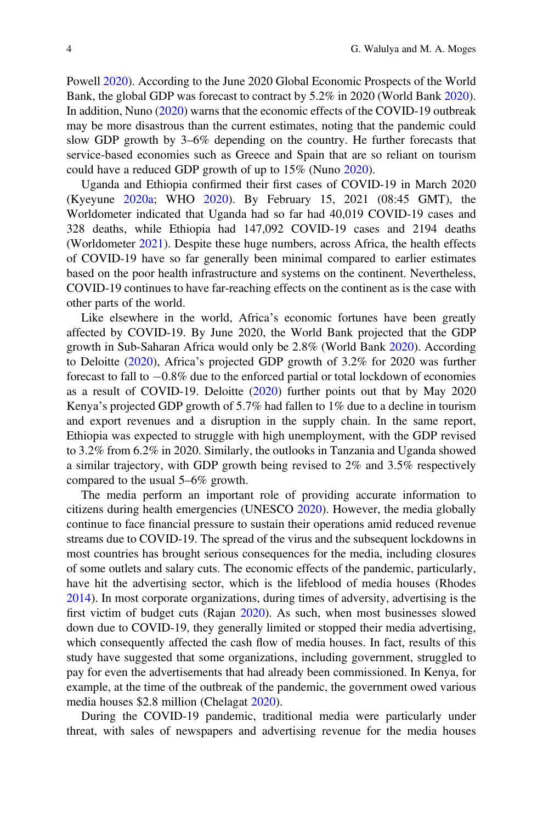Powell [2020\)](#page-14-0). According to the June 2020 Global Economic Prospects of the World Bank, the global GDP was forecast to contract by 5.2% in 2020 (World Bank [2020\)](#page-14-0). In addition, Nuno ([2020\)](#page-14-0) warns that the economic effects of the COVID-19 outbreak may be more disastrous than the current estimates, noting that the pandemic could slow GDP growth by 3–6% depending on the country. He further forecasts that service-based economies such as Greece and Spain that are so reliant on tourism could have a reduced GDP growth of up to 15% (Nuno [2020](#page-14-0)).

Uganda and Ethiopia confirmed their first cases of COVID-19 in March 2020 (Kyeyune [2020a](#page-13-0); WHO [2020\)](#page-14-0). By February 15, 2021 (08:45 GMT), the Worldometer indicated that Uganda had so far had 40,019 COVID-19 cases and 328 deaths, while Ethiopia had 147,092 COVID-19 cases and 2194 deaths (Worldometer [2021\)](#page-14-0). Despite these huge numbers, across Africa, the health effects of COVID-19 have so far generally been minimal compared to earlier estimates based on the poor health infrastructure and systems on the continent. Nevertheless, COVID-19 continues to have far-reaching effects on the continent as is the case with other parts of the world.

Like elsewhere in the world, Africa's economic fortunes have been greatly affected by COVID-19. By June 2020, the World Bank projected that the GDP growth in Sub-Saharan Africa would only be 2.8% (World Bank [2020](#page-14-0)). According to Deloitte ([2020\)](#page-13-0), Africa's projected GDP growth of 3.2% for 2020 was further forecast to fall to  $-0.8\%$  due to the enforced partial or total lockdown of economies as a result of COVID-19. Deloitte ([2020\)](#page-13-0) further points out that by May 2020 Kenya's projected GDP growth of 5.7% had fallen to 1% due to a decline in tourism and export revenues and a disruption in the supply chain. In the same report, Ethiopia was expected to struggle with high unemployment, with the GDP revised to 3.2% from 6.2% in 2020. Similarly, the outlooks in Tanzania and Uganda showed a similar trajectory, with GDP growth being revised to 2% and 3.5% respectively compared to the usual 5–6% growth.

The media perform an important role of providing accurate information to citizens during health emergencies (UNESCO [2020\)](#page-14-0). However, the media globally continue to face financial pressure to sustain their operations amid reduced revenue streams due to COVID-19. The spread of the virus and the subsequent lockdowns in most countries has brought serious consequences for the media, including closures of some outlets and salary cuts. The economic effects of the pandemic, particularly, have hit the advertising sector, which is the lifeblood of media houses (Rhodes [2014\)](#page-14-0). In most corporate organizations, during times of adversity, advertising is the first victim of budget cuts (Rajan [2020\)](#page-14-0). As such, when most businesses slowed down due to COVID-19, they generally limited or stopped their media advertising, which consequently affected the cash flow of media houses. In fact, results of this study have suggested that some organizations, including government, struggled to pay for even the advertisements that had already been commissioned. In Kenya, for example, at the time of the outbreak of the pandemic, the government owed various media houses \$2.8 million (Chelagat [2020](#page-13-0)).

During the COVID-19 pandemic, traditional media were particularly under threat, with sales of newspapers and advertising revenue for the media houses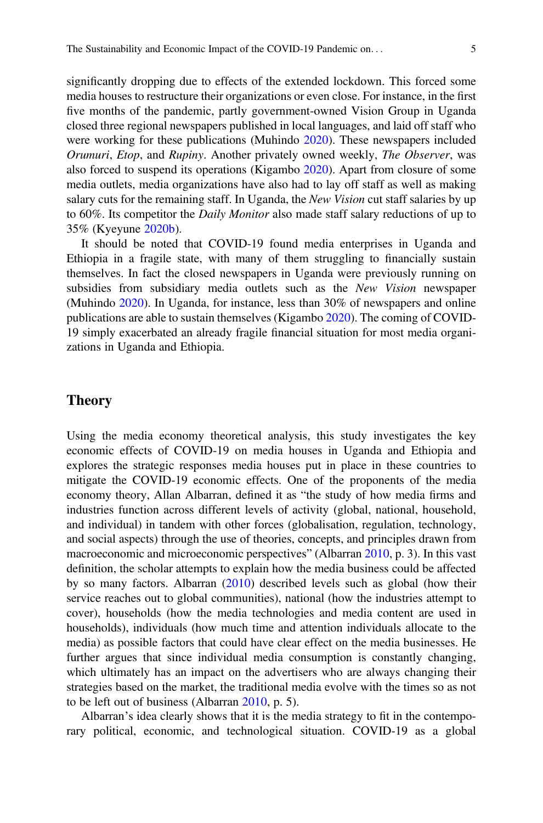significantly dropping due to effects of the extended lockdown. This forced some media houses to restructure their organizations or even close. For instance, in the first five months of the pandemic, partly government-owned Vision Group in Uganda closed three regional newspapers published in local languages, and laid off staff who were working for these publications (Muhindo [2020\)](#page-14-0). These newspapers included Orumuri, Etop, and Rupiny. Another privately owned weekly, The Observer, was also forced to suspend its operations (Kigambo [2020\)](#page-13-0). Apart from closure of some media outlets, media organizations have also had to lay off staff as well as making salary cuts for the remaining staff. In Uganda, the New Vision cut staff salaries by up to 60%. Its competitor the Daily Monitor also made staff salary reductions of up to 35% (Kyeyune [2020b\)](#page-13-0).

It should be noted that COVID-19 found media enterprises in Uganda and Ethiopia in a fragile state, with many of them struggling to financially sustain themselves. In fact the closed newspapers in Uganda were previously running on subsidies from subsidiary media outlets such as the New Vision newspaper (Muhindo [2020](#page-14-0)). In Uganda, for instance, less than 30% of newspapers and online publications are able to sustain themselves (Kigambo [2020\)](#page-13-0). The coming of COVID-19 simply exacerbated an already fragile financial situation for most media organizations in Uganda and Ethiopia.

## Theory

Using the media economy theoretical analysis, this study investigates the key economic effects of COVID-19 on media houses in Uganda and Ethiopia and explores the strategic responses media houses put in place in these countries to mitigate the COVID-19 economic effects. One of the proponents of the media economy theory, Allan Albarran, defined it as "the study of how media firms and industries function across different levels of activity (global, national, household, and individual) in tandem with other forces (globalisation, regulation, technology, and social aspects) through the use of theories, concepts, and principles drawn from macroeconomic and microeconomic perspectives" (Albarran [2010](#page-13-0), p. 3). In this vast definition, the scholar attempts to explain how the media business could be affected by so many factors. Albarran ([2010\)](#page-13-0) described levels such as global (how their service reaches out to global communities), national (how the industries attempt to cover), households (how the media technologies and media content are used in households), individuals (how much time and attention individuals allocate to the media) as possible factors that could have clear effect on the media businesses. He further argues that since individual media consumption is constantly changing, which ultimately has an impact on the advertisers who are always changing their strategies based on the market, the traditional media evolve with the times so as not to be left out of business (Albarran [2010](#page-13-0), p. 5).

Albarran's idea clearly shows that it is the media strategy to fit in the contemporary political, economic, and technological situation. COVID-19 as a global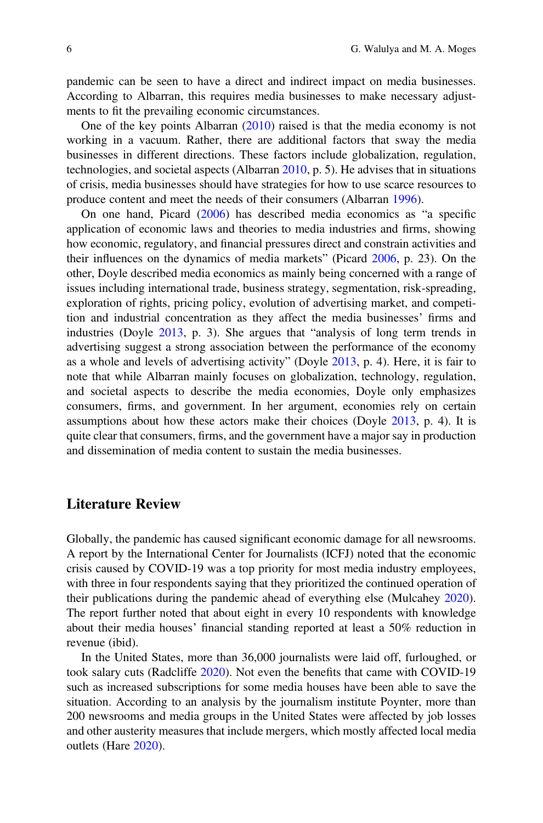pandemic can be seen to have a direct and indirect impact on media businesses. According to Albarran, this requires media businesses to make necessary adjustments to fit the prevailing economic circumstances.

One of the key points Albarran  $(2010)$  $(2010)$  raised is that the media economy is not working in a vacuum. Rather, there are additional factors that sway the media businesses in different directions. These factors include globalization, regulation, technologies, and societal aspects (Albarran [2010](#page-13-0), p. 5). He advises that in situations of crisis, media businesses should have strategies for how to use scarce resources to produce content and meet the needs of their consumers (Albarran [1996\)](#page-13-0).

On one hand, Picard ([2006\)](#page-14-0) has described media economics as "a specific application of economic laws and theories to media industries and firms, showing how economic, regulatory, and financial pressures direct and constrain activities and their influences on the dynamics of media markets" (Picard [2006,](#page-14-0) p. 23). On the other, Doyle described media economics as mainly being concerned with a range of issues including international trade, business strategy, segmentation, risk-spreading, exploration of rights, pricing policy, evolution of advertising market, and competition and industrial concentration as they affect the media businesses' firms and industries (Doyle [2013,](#page-13-0) p. 3). She argues that "analysis of long term trends in advertising suggest a strong association between the performance of the economy as a whole and levels of advertising activity" (Doyle [2013,](#page-13-0) p. 4). Here, it is fair to note that while Albarran mainly focuses on globalization, technology, regulation, and societal aspects to describe the media economies, Doyle only emphasizes consumers, firms, and government. In her argument, economies rely on certain assumptions about how these actors make their choices (Doyle [2013,](#page-13-0) p. 4). It is quite clear that consumers, firms, and the government have a major say in production and dissemination of media content to sustain the media businesses.

## Literature Review

Globally, the pandemic has caused significant economic damage for all newsrooms. A report by the International Center for Journalists (ICFJ) noted that the economic crisis caused by COVID-19 was a top priority for most media industry employees, with three in four respondents saying that they prioritized the continued operation of their publications during the pandemic ahead of everything else (Mulcahey [2020\)](#page-14-0). The report further noted that about eight in every 10 respondents with knowledge about their media houses' financial standing reported at least a 50% reduction in revenue (ibid).

In the United States, more than 36,000 journalists were laid off, furloughed, or took salary cuts (Radcliffe [2020](#page-14-0)). Not even the benefits that came with COVID-19 such as increased subscriptions for some media houses have been able to save the situation. According to an analysis by the journalism institute Poynter, more than 200 newsrooms and media groups in the United States were affected by job losses and other austerity measures that include mergers, which mostly affected local media outlets (Hare [2020](#page-13-0)).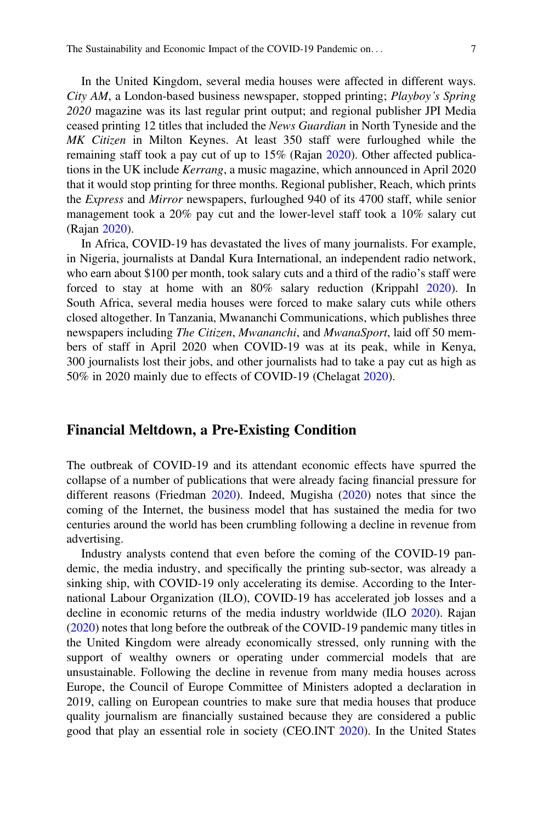In the United Kingdom, several media houses were affected in different ways. City AM, a London-based business newspaper, stopped printing; Playboy's Spring 2020 magazine was its last regular print output; and regional publisher JPI Media

ceased printing 12 titles that included the News Guardian in North Tyneside and the MK Citizen in Milton Keynes. At least 350 staff were furloughed while the remaining staff took a pay cut of up to 15% (Rajan [2020](#page-14-0)). Other affected publications in the UK include Kerrang, a music magazine, which announced in April 2020 that it would stop printing for three months. Regional publisher, Reach, which prints the Express and Mirror newspapers, furloughed 940 of its 4700 staff, while senior management took a 20% pay cut and the lower-level staff took a 10% salary cut (Rajan [2020\)](#page-14-0).

In Africa, COVID-19 has devastated the lives of many journalists. For example, in Nigeria, journalists at Dandal Kura International, an independent radio network, who earn about \$100 per month, took salary cuts and a third of the radio's staff were forced to stay at home with an 80% salary reduction (Krippahl [2020](#page-13-0)). In South Africa, several media houses were forced to make salary cuts while others closed altogether. In Tanzania, Mwananchi Communications, which publishes three newspapers including *The Citizen, Mwananchi*, and *MwanaSport*, laid off 50 members of staff in April 2020 when COVID-19 was at its peak, while in Kenya, 300 journalists lost their jobs, and other journalists had to take a pay cut as high as 50% in 2020 mainly due to effects of COVID-19 (Chelagat [2020](#page-13-0)).

#### Financial Meltdown, a Pre-Existing Condition

The outbreak of COVID-19 and its attendant economic effects have spurred the collapse of a number of publications that were already facing financial pressure for different reasons (Friedman [2020](#page-13-0)). Indeed, Mugisha [\(2020](#page-14-0)) notes that since the coming of the Internet, the business model that has sustained the media for two centuries around the world has been crumbling following a decline in revenue from advertising.

Industry analysts contend that even before the coming of the COVID-19 pandemic, the media industry, and specifically the printing sub-sector, was already a sinking ship, with COVID-19 only accelerating its demise. According to the International Labour Organization (ILO), COVID-19 has accelerated job losses and a decline in economic returns of the media industry worldwide (ILO [2020\)](#page-13-0). Rajan [\(2020](#page-14-0)) notes that long before the outbreak of the COVID-19 pandemic many titles in the United Kingdom were already economically stressed, only running with the support of wealthy owners or operating under commercial models that are unsustainable. Following the decline in revenue from many media houses across Europe, the Council of Europe Committee of Ministers adopted a declaration in 2019, calling on European countries to make sure that media houses that produce quality journalism are financially sustained because they are considered a public good that play an essential role in society (CEO.INT [2020\)](#page-13-0). In the United States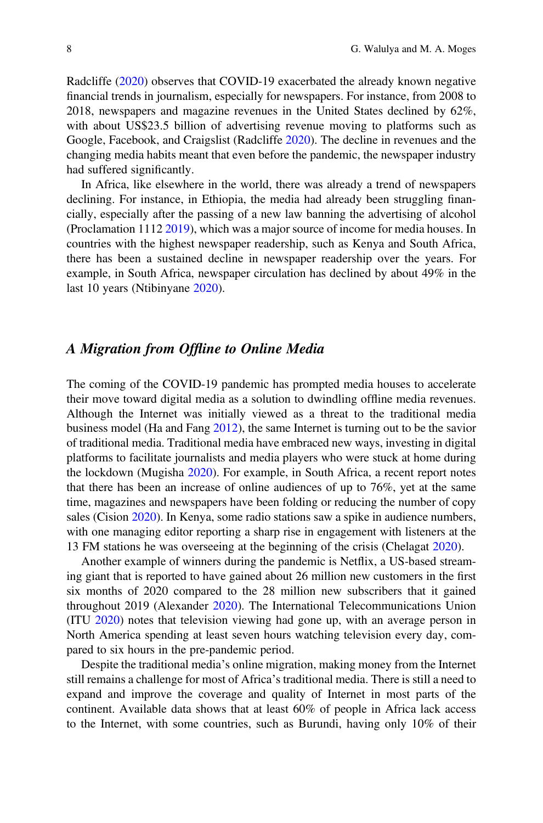Radcliffe ([2020\)](#page-14-0) observes that COVID-19 exacerbated the already known negative financial trends in journalism, especially for newspapers. For instance, from 2008 to 2018, newspapers and magazine revenues in the United States declined by 62%, with about US\$23.5 billion of advertising revenue moving to platforms such as Google, Facebook, and Craigslist (Radcliffe [2020](#page-14-0)). The decline in revenues and the changing media habits meant that even before the pandemic, the newspaper industry had suffered significantly.

In Africa, like elsewhere in the world, there was already a trend of newspapers declining. For instance, in Ethiopia, the media had already been struggling financially, especially after the passing of a new law banning the advertising of alcohol (Proclamation 1112 [2019\)](#page-14-0), which was a major source of income for media houses. In countries with the highest newspaper readership, such as Kenya and South Africa, there has been a sustained decline in newspaper readership over the years. For example, in South Africa, newspaper circulation has declined by about 49% in the last 10 years (Ntibinyane [2020\)](#page-14-0).

## A Migration from Offline to Online Media

The coming of the COVID-19 pandemic has prompted media houses to accelerate their move toward digital media as a solution to dwindling offline media revenues. Although the Internet was initially viewed as a threat to the traditional media business model (Ha and Fang [2012\)](#page-13-0), the same Internet is turning out to be the savior of traditional media. Traditional media have embraced new ways, investing in digital platforms to facilitate journalists and media players who were stuck at home during the lockdown (Mugisha [2020](#page-14-0)). For example, in South Africa, a recent report notes that there has been an increase of online audiences of up to 76%, yet at the same time, magazines and newspapers have been folding or reducing the number of copy sales (Cision [2020\)](#page-13-0). In Kenya, some radio stations saw a spike in audience numbers, with one managing editor reporting a sharp rise in engagement with listeners at the 13 FM stations he was overseeing at the beginning of the crisis (Chelagat [2020](#page-13-0)).

Another example of winners during the pandemic is Netflix, a US-based streaming giant that is reported to have gained about 26 million new customers in the first six months of 2020 compared to the 28 million new subscribers that it gained throughout 2019 (Alexander [2020](#page-13-0)). The International Telecommunications Union (ITU [2020\)](#page-13-0) notes that television viewing had gone up, with an average person in North America spending at least seven hours watching television every day, compared to six hours in the pre-pandemic period.

Despite the traditional media's online migration, making money from the Internet still remains a challenge for most of Africa's traditional media. There is still a need to expand and improve the coverage and quality of Internet in most parts of the continent. Available data shows that at least 60% of people in Africa lack access to the Internet, with some countries, such as Burundi, having only 10% of their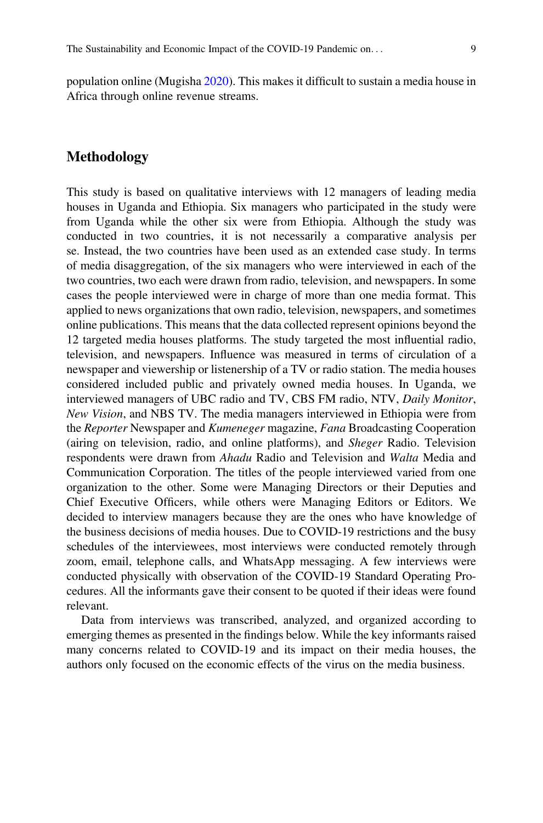population online (Mugisha [2020](#page-14-0)). This makes it difficult to sustain a media house in Africa through online revenue streams.

## Methodology

This study is based on qualitative interviews with 12 managers of leading media houses in Uganda and Ethiopia. Six managers who participated in the study were from Uganda while the other six were from Ethiopia. Although the study was conducted in two countries, it is not necessarily a comparative analysis per se. Instead, the two countries have been used as an extended case study. In terms of media disaggregation, of the six managers who were interviewed in each of the two countries, two each were drawn from radio, television, and newspapers. In some cases the people interviewed were in charge of more than one media format. This applied to news organizations that own radio, television, newspapers, and sometimes online publications. This means that the data collected represent opinions beyond the 12 targeted media houses platforms. The study targeted the most influential radio, television, and newspapers. Influence was measured in terms of circulation of a newspaper and viewership or listenership of a TV or radio station. The media houses considered included public and privately owned media houses. In Uganda, we interviewed managers of UBC radio and TV, CBS FM radio, NTV, Daily Monitor, New Vision, and NBS TV. The media managers interviewed in Ethiopia were from the Reporter Newspaper and Kumeneger magazine, Fana Broadcasting Cooperation (airing on television, radio, and online platforms), and Sheger Radio. Television respondents were drawn from Ahadu Radio and Television and Walta Media and Communication Corporation. The titles of the people interviewed varied from one organization to the other. Some were Managing Directors or their Deputies and Chief Executive Officers, while others were Managing Editors or Editors. We decided to interview managers because they are the ones who have knowledge of the business decisions of media houses. Due to COVID-19 restrictions and the busy schedules of the interviewees, most interviews were conducted remotely through zoom, email, telephone calls, and WhatsApp messaging. A few interviews were conducted physically with observation of the COVID-19 Standard Operating Procedures. All the informants gave their consent to be quoted if their ideas were found relevant.

Data from interviews was transcribed, analyzed, and organized according to emerging themes as presented in the findings below. While the key informants raised many concerns related to COVID-19 and its impact on their media houses, the authors only focused on the economic effects of the virus on the media business.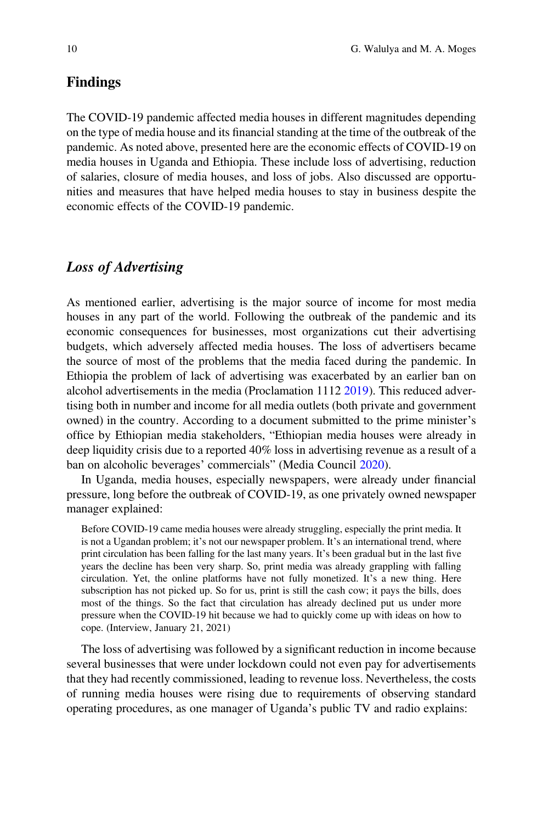## Findings

The COVID-19 pandemic affected media houses in different magnitudes depending on the type of media house and its financial standing at the time of the outbreak of the pandemic. As noted above, presented here are the economic effects of COVID-19 on media houses in Uganda and Ethiopia. These include loss of advertising, reduction of salaries, closure of media houses, and loss of jobs. Also discussed are opportunities and measures that have helped media houses to stay in business despite the economic effects of the COVID-19 pandemic.

## Loss of Advertising

As mentioned earlier, advertising is the major source of income for most media houses in any part of the world. Following the outbreak of the pandemic and its economic consequences for businesses, most organizations cut their advertising budgets, which adversely affected media houses. The loss of advertisers became the source of most of the problems that the media faced during the pandemic. In Ethiopia the problem of lack of advertising was exacerbated by an earlier ban on alcohol advertisements in the media (Proclamation 1112 [2019\)](#page-14-0). This reduced advertising both in number and income for all media outlets (both private and government owned) in the country. According to a document submitted to the prime minister's office by Ethiopian media stakeholders, "Ethiopian media houses were already in deep liquidity crisis due to a reported 40% loss in advertising revenue as a result of a ban on alcoholic beverages' commercials" (Media Council [2020](#page-13-0)).

In Uganda, media houses, especially newspapers, were already under financial pressure, long before the outbreak of COVID-19, as one privately owned newspaper manager explained:

Before COVID-19 came media houses were already struggling, especially the print media. It is not a Ugandan problem; it's not our newspaper problem. It's an international trend, where print circulation has been falling for the last many years. It's been gradual but in the last five years the decline has been very sharp. So, print media was already grappling with falling circulation. Yet, the online platforms have not fully monetized. It's a new thing. Here subscription has not picked up. So for us, print is still the cash cow; it pays the bills, does most of the things. So the fact that circulation has already declined put us under more pressure when the COVID-19 hit because we had to quickly come up with ideas on how to cope. (Interview, January 21, 2021)

The loss of advertising was followed by a significant reduction in income because several businesses that were under lockdown could not even pay for advertisements that they had recently commissioned, leading to revenue loss. Nevertheless, the costs of running media houses were rising due to requirements of observing standard operating procedures, as one manager of Uganda's public TV and radio explains: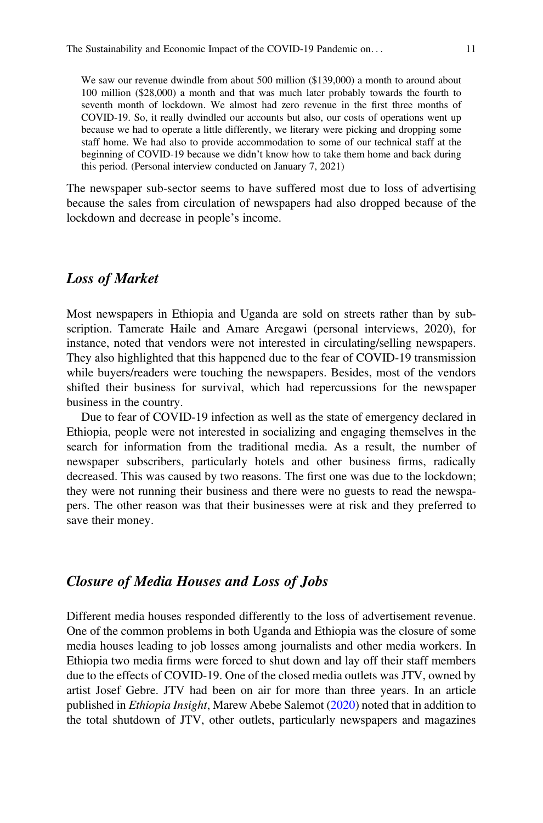We saw our revenue dwindle from about 500 million (\$139,000) a month to around about 100 million (\$28,000) a month and that was much later probably towards the fourth to seventh month of lockdown. We almost had zero revenue in the first three months of COVID-19. So, it really dwindled our accounts but also, our costs of operations went up because we had to operate a little differently, we literary were picking and dropping some staff home. We had also to provide accommodation to some of our technical staff at the beginning of COVID-19 because we didn't know how to take them home and back during this period. (Personal interview conducted on January 7, 2021)

The newspaper sub-sector seems to have suffered most due to loss of advertising because the sales from circulation of newspapers had also dropped because of the lockdown and decrease in people's income.

### Loss of Market

Most newspapers in Ethiopia and Uganda are sold on streets rather than by subscription. Tamerate Haile and Amare Aregawi (personal interviews, 2020), for instance, noted that vendors were not interested in circulating/selling newspapers. They also highlighted that this happened due to the fear of COVID-19 transmission while buyers/readers were touching the newspapers. Besides, most of the vendors shifted their business for survival, which had repercussions for the newspaper business in the country.

Due to fear of COVID-19 infection as well as the state of emergency declared in Ethiopia, people were not interested in socializing and engaging themselves in the search for information from the traditional media. As a result, the number of newspaper subscribers, particularly hotels and other business firms, radically decreased. This was caused by two reasons. The first one was due to the lockdown; they were not running their business and there were no guests to read the newspapers. The other reason was that their businesses were at risk and they preferred to save their money.

#### Closure of Media Houses and Loss of Jobs

Different media houses responded differently to the loss of advertisement revenue. One of the common problems in both Uganda and Ethiopia was the closure of some media houses leading to job losses among journalists and other media workers. In Ethiopia two media firms were forced to shut down and lay off their staff members due to the effects of COVID-19. One of the closed media outlets was JTV, owned by artist Josef Gebre. JTV had been on air for more than three years. In an article published in Ethiopia Insight, Marew Abebe Salemot ([2020\)](#page-14-0) noted that in addition to the total shutdown of JTV, other outlets, particularly newspapers and magazines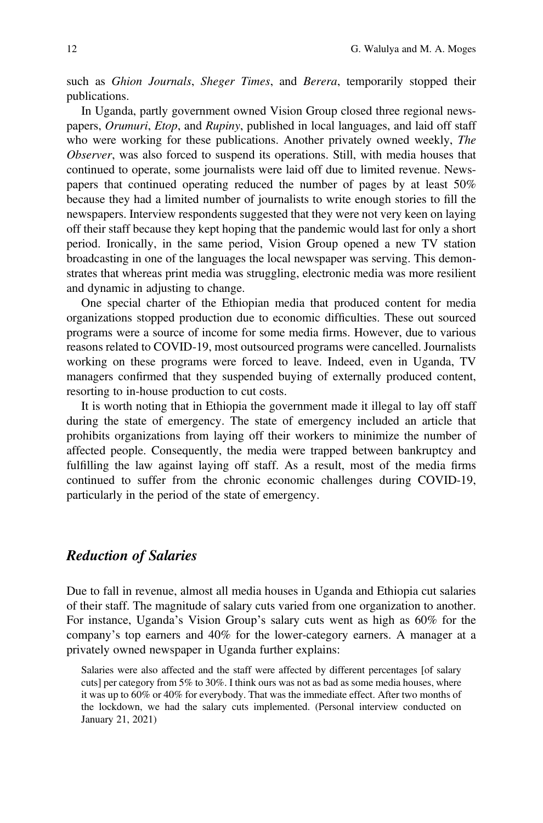such as Ghion Journals, Sheger Times, and Berera, temporarily stopped their publications.

In Uganda, partly government owned Vision Group closed three regional newspapers, Orumuri, Etop, and Rupiny, published in local languages, and laid off staff who were working for these publications. Another privately owned weekly, *The* Observer, was also forced to suspend its operations. Still, with media houses that continued to operate, some journalists were laid off due to limited revenue. Newspapers that continued operating reduced the number of pages by at least 50% because they had a limited number of journalists to write enough stories to fill the newspapers. Interview respondents suggested that they were not very keen on laying off their staff because they kept hoping that the pandemic would last for only a short period. Ironically, in the same period, Vision Group opened a new TV station broadcasting in one of the languages the local newspaper was serving. This demonstrates that whereas print media was struggling, electronic media was more resilient and dynamic in adjusting to change.

One special charter of the Ethiopian media that produced content for media organizations stopped production due to economic difficulties. These out sourced programs were a source of income for some media firms. However, due to various reasons related to COVID-19, most outsourced programs were cancelled. Journalists working on these programs were forced to leave. Indeed, even in Uganda, TV managers confirmed that they suspended buying of externally produced content, resorting to in-house production to cut costs.

It is worth noting that in Ethiopia the government made it illegal to lay off staff during the state of emergency. The state of emergency included an article that prohibits organizations from laying off their workers to minimize the number of affected people. Consequently, the media were trapped between bankruptcy and fulfilling the law against laying off staff. As a result, most of the media firms continued to suffer from the chronic economic challenges during COVID-19, particularly in the period of the state of emergency.

## Reduction of Salaries

Due to fall in revenue, almost all media houses in Uganda and Ethiopia cut salaries of their staff. The magnitude of salary cuts varied from one organization to another. For instance, Uganda's Vision Group's salary cuts went as high as 60% for the company's top earners and 40% for the lower-category earners. A manager at a privately owned newspaper in Uganda further explains:

Salaries were also affected and the staff were affected by different percentages [of salary cuts] per category from 5% to 30%. I think ours was not as bad as some media houses, where it was up to 60% or 40% for everybody. That was the immediate effect. After two months of the lockdown, we had the salary cuts implemented. (Personal interview conducted on January 21, 2021)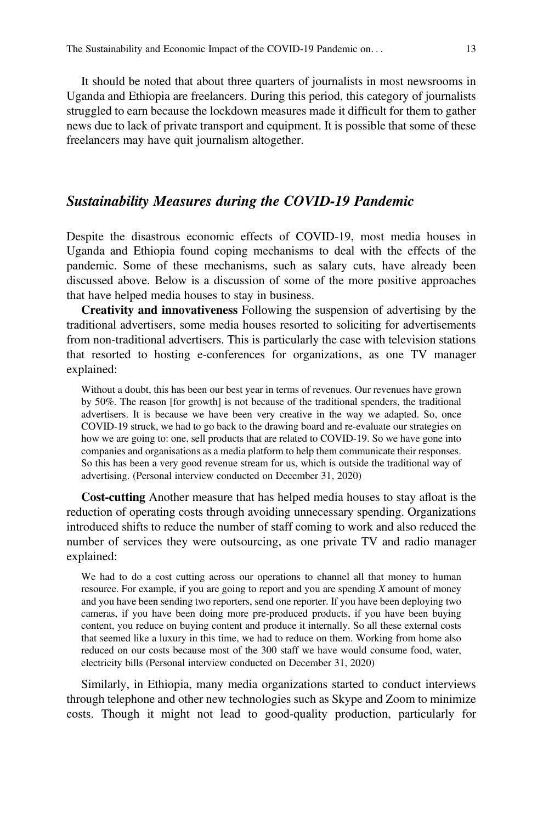It should be noted that about three quarters of journalists in most newsrooms in Uganda and Ethiopia are freelancers. During this period, this category of journalists struggled to earn because the lockdown measures made it difficult for them to gather news due to lack of private transport and equipment. It is possible that some of these freelancers may have quit journalism altogether.

## Sustainability Measures during the COVID-19 Pandemic

Despite the disastrous economic effects of COVID-19, most media houses in Uganda and Ethiopia found coping mechanisms to deal with the effects of the pandemic. Some of these mechanisms, such as salary cuts, have already been discussed above. Below is a discussion of some of the more positive approaches that have helped media houses to stay in business.

Creativity and innovativeness Following the suspension of advertising by the traditional advertisers, some media houses resorted to soliciting for advertisements from non-traditional advertisers. This is particularly the case with television stations that resorted to hosting e-conferences for organizations, as one TV manager explained:

Without a doubt, this has been our best year in terms of revenues. Our revenues have grown by 50%. The reason [for growth] is not because of the traditional spenders, the traditional advertisers. It is because we have been very creative in the way we adapted. So, once COVID-19 struck, we had to go back to the drawing board and re-evaluate our strategies on how we are going to: one, sell products that are related to COVID-19. So we have gone into companies and organisations as a media platform to help them communicate their responses. So this has been a very good revenue stream for us, which is outside the traditional way of advertising. (Personal interview conducted on December 31, 2020)

Cost-cutting Another measure that has helped media houses to stay afloat is the reduction of operating costs through avoiding unnecessary spending. Organizations introduced shifts to reduce the number of staff coming to work and also reduced the number of services they were outsourcing, as one private TV and radio manager explained:

We had to do a cost cutting across our operations to channel all that money to human resource. For example, if you are going to report and you are spending X amount of money and you have been sending two reporters, send one reporter. If you have been deploying two cameras, if you have been doing more pre-produced products, if you have been buying content, you reduce on buying content and produce it internally. So all these external costs that seemed like a luxury in this time, we had to reduce on them. Working from home also reduced on our costs because most of the 300 staff we have would consume food, water, electricity bills (Personal interview conducted on December 31, 2020)

Similarly, in Ethiopia, many media organizations started to conduct interviews through telephone and other new technologies such as Skype and Zoom to minimize costs. Though it might not lead to good-quality production, particularly for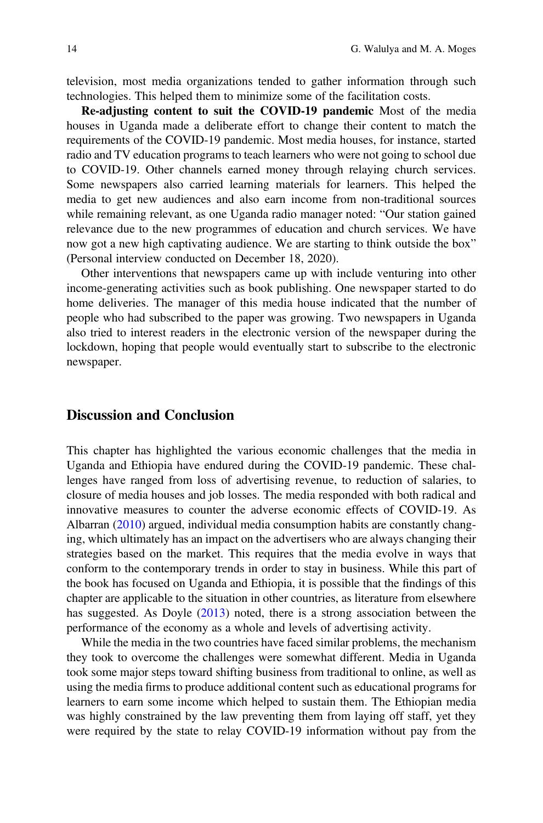television, most media organizations tended to gather information through such technologies. This helped them to minimize some of the facilitation costs.

Re-adjusting content to suit the COVID-19 pandemic Most of the media houses in Uganda made a deliberate effort to change their content to match the requirements of the COVID-19 pandemic. Most media houses, for instance, started radio and TV education programs to teach learners who were not going to school due to COVID-19. Other channels earned money through relaying church services. Some newspapers also carried learning materials for learners. This helped the media to get new audiences and also earn income from non-traditional sources while remaining relevant, as one Uganda radio manager noted: "Our station gained relevance due to the new programmes of education and church services. We have now got a new high captivating audience. We are starting to think outside the box" (Personal interview conducted on December 18, 2020).

Other interventions that newspapers came up with include venturing into other income-generating activities such as book publishing. One newspaper started to do home deliveries. The manager of this media house indicated that the number of people who had subscribed to the paper was growing. Two newspapers in Uganda also tried to interest readers in the electronic version of the newspaper during the lockdown, hoping that people would eventually start to subscribe to the electronic newspaper.

## Discussion and Conclusion

This chapter has highlighted the various economic challenges that the media in Uganda and Ethiopia have endured during the COVID-19 pandemic. These challenges have ranged from loss of advertising revenue, to reduction of salaries, to closure of media houses and job losses. The media responded with both radical and innovative measures to counter the adverse economic effects of COVID-19. As Albarran ([2010\)](#page-13-0) argued, individual media consumption habits are constantly changing, which ultimately has an impact on the advertisers who are always changing their strategies based on the market. This requires that the media evolve in ways that conform to the contemporary trends in order to stay in business. While this part of the book has focused on Uganda and Ethiopia, it is possible that the findings of this chapter are applicable to the situation in other countries, as literature from elsewhere has suggested. As Doyle ([2013\)](#page-13-0) noted, there is a strong association between the performance of the economy as a whole and levels of advertising activity.

While the media in the two countries have faced similar problems, the mechanism they took to overcome the challenges were somewhat different. Media in Uganda took some major steps toward shifting business from traditional to online, as well as using the media firms to produce additional content such as educational programs for learners to earn some income which helped to sustain them. The Ethiopian media was highly constrained by the law preventing them from laying off staff, yet they were required by the state to relay COVID-19 information without pay from the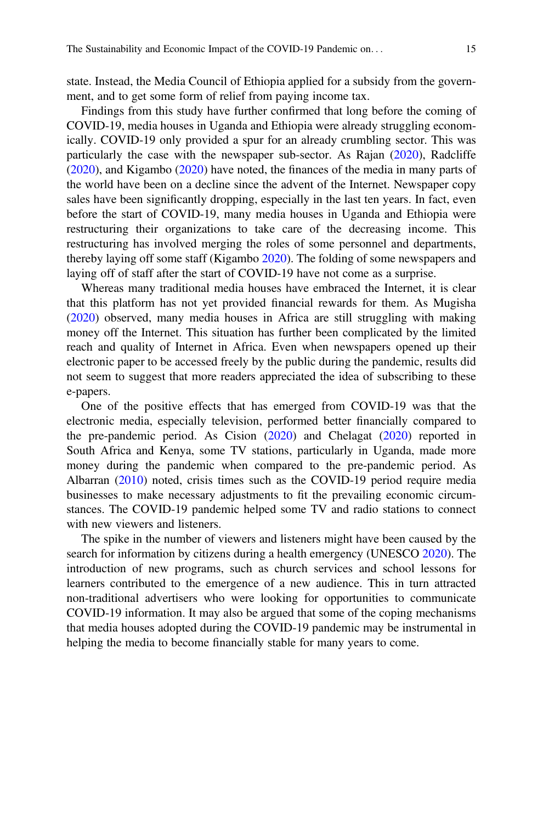state. Instead, the Media Council of Ethiopia applied for a subsidy from the government, and to get some form of relief from paying income tax.

Findings from this study have further confirmed that long before the coming of COVID-19, media houses in Uganda and Ethiopia were already struggling economically. COVID-19 only provided a spur for an already crumbling sector. This was particularly the case with the newspaper sub-sector. As Rajan ([2020\)](#page-14-0), Radcliffe [\(2020](#page-14-0)), and Kigambo ([2020\)](#page-13-0) have noted, the finances of the media in many parts of the world have been on a decline since the advent of the Internet. Newspaper copy sales have been significantly dropping, especially in the last ten years. In fact, even before the start of COVID-19, many media houses in Uganda and Ethiopia were restructuring their organizations to take care of the decreasing income. This restructuring has involved merging the roles of some personnel and departments, thereby laying off some staff (Kigambo [2020](#page-13-0)). The folding of some newspapers and laying off of staff after the start of COVID-19 have not come as a surprise.

Whereas many traditional media houses have embraced the Internet, it is clear that this platform has not yet provided financial rewards for them. As Mugisha [\(2020](#page-14-0)) observed, many media houses in Africa are still struggling with making money off the Internet. This situation has further been complicated by the limited reach and quality of Internet in Africa. Even when newspapers opened up their electronic paper to be accessed freely by the public during the pandemic, results did not seem to suggest that more readers appreciated the idea of subscribing to these e-papers.

One of the positive effects that has emerged from COVID-19 was that the electronic media, especially television, performed better financially compared to the pre-pandemic period. As Cision ([2020\)](#page-13-0) and Chelagat [\(2020](#page-13-0)) reported in South Africa and Kenya, some TV stations, particularly in Uganda, made more money during the pandemic when compared to the pre-pandemic period. As Albarran [\(2010](#page-13-0)) noted, crisis times such as the COVID-19 period require media businesses to make necessary adjustments to fit the prevailing economic circumstances. The COVID-19 pandemic helped some TV and radio stations to connect with new viewers and listeners.

The spike in the number of viewers and listeners might have been caused by the search for information by citizens during a health emergency (UNESCO [2020\)](#page-14-0). The introduction of new programs, such as church services and school lessons for learners contributed to the emergence of a new audience. This in turn attracted non-traditional advertisers who were looking for opportunities to communicate COVID-19 information. It may also be argued that some of the coping mechanisms that media houses adopted during the COVID-19 pandemic may be instrumental in helping the media to become financially stable for many years to come.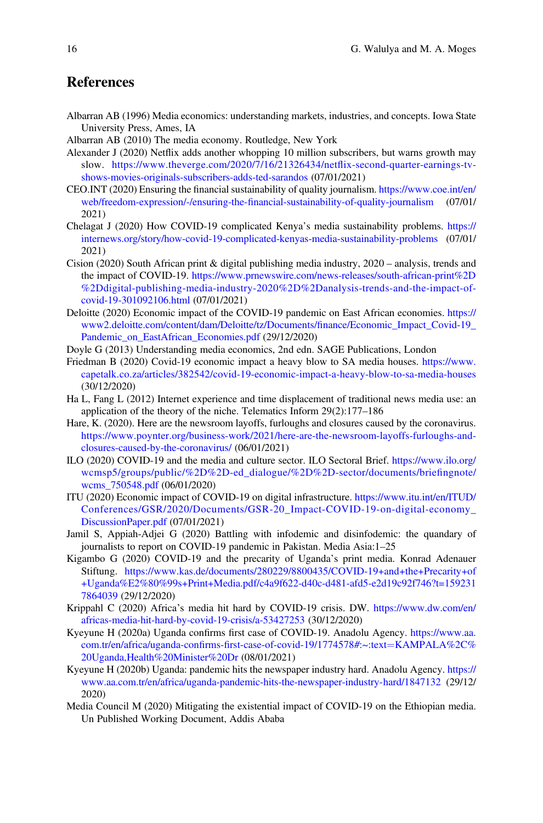# <span id="page-13-0"></span>References

- Albarran AB (1996) Media economics: understanding markets, industries, and concepts. Iowa State University Press, Ames, IA
- Albarran AB (2010) The media economy. Routledge, New York
- Alexander J (2020) Netflix adds another whopping 10 million subscribers, but warns growth may slow. [https://www.theverge.com/2020/7/16/21326434/net](https://www.theverge.com/2020/7/16/21326434/netflix-second-quarter-earnings-tv-shows-movies-originals-subscribers-adds-ted-sarandos)flix-second-quarter-earnings-tv[shows-movies-originals-subscribers-adds-ted-sarandos](https://www.theverge.com/2020/7/16/21326434/netflix-second-quarter-earnings-tv-shows-movies-originals-subscribers-adds-ted-sarandos) (07/01/2021)
- CEO.INT (2020) Ensuring the financial sustainability of quality journalism. [https://www.coe.int/en/](https://www.coe.int/en/web/freedom-expression/-/ensuring-the-financial-sustainability-of-quality-journalism) web/freedom-expression/-/ensuring-the-fi[nancial-sustainability-of-quality-journalism](https://www.coe.int/en/web/freedom-expression/-/ensuring-the-financial-sustainability-of-quality-journalism) (07/01/ 2021)
- Chelagat J (2020) How COVID-19 complicated Kenya's media sustainability problems. [https://](https://internews.org/story/how-covid-19-complicated-kenyas-media-sustainability-problems) [internews.org/story/how-covid-19-complicated-kenyas-media-sustainability-problems](https://internews.org/story/how-covid-19-complicated-kenyas-media-sustainability-problems) (07/01/ 2021)
- Cision (2020) South African print & digital publishing media industry, 2020 analysis, trends and the impact of COVID-19. [https://www.prnewswire.com/news-releases/south-african-print%2D](https://www.prnewswire.com/news-releases/south-african-print%2D%2Ddigital-publishing-media-industry-2020%2D%2Danalysis-trends-and-the-impact-of-covid-19-301092106.html) [%2Ddigital-publishing-media-industry-2020%2D%2Danalysis-trends-and-the-impact-of](https://www.prnewswire.com/news-releases/south-african-print%2D%2Ddigital-publishing-media-industry-2020%2D%2Danalysis-trends-and-the-impact-of-covid-19-301092106.html)[covid-19-301092106.html](https://www.prnewswire.com/news-releases/south-african-print%2D%2Ddigital-publishing-media-industry-2020%2D%2Danalysis-trends-and-the-impact-of-covid-19-301092106.html) (07/01/2021)
- Deloitte (2020) Economic impact of the COVID-19 pandemic on East African economies. [https://](https://www2.deloitte.com/content/dam/Deloitte/tz/Documents/finance/Economic_Impact_Covid-19_Pandemic_on_EastAfrican_Economies.pdf) [www2.deloitte.com/content/dam/Deloitte/tz/Documents/](https://www2.deloitte.com/content/dam/Deloitte/tz/Documents/finance/Economic_Impact_Covid-19_Pandemic_on_EastAfrican_Economies.pdf)finance/Economic\_Impact\_Covid-19\_ [Pandemic\\_on\\_EastAfrican\\_Economies.pdf](https://www2.deloitte.com/content/dam/Deloitte/tz/Documents/finance/Economic_Impact_Covid-19_Pandemic_on_EastAfrican_Economies.pdf) (29/12/2020)
- Doyle G (2013) Understanding media economics, 2nd edn. SAGE Publications, London
- Friedman B (2020) Covid-19 economic impact a heavy blow to SA media houses. [https://www.](https://www.capetalk.co.za/articles/382542/covid-19-economic-impact-a-heavy-blow-to-sa-media-houses) [capetalk.co.za/articles/382542/covid-19-economic-impact-a-heavy-blow-to-sa-media-houses](https://www.capetalk.co.za/articles/382542/covid-19-economic-impact-a-heavy-blow-to-sa-media-houses) (30/12/2020)
- Ha L, Fang L (2012) Internet experience and time displacement of traditional news media use: an application of the theory of the niche. Telematics Inform 29(2):177–186
- Hare, K. (2020). Here are the newsroom layoffs, furloughs and closures caused by the coronavirus. [https://www.poynter.org/business-work/2021/here-are-the-newsroom-layoffs-furloughs-and](https://www.poynter.org/business-work/2021/here-are-the-newsroom-layoffs-furloughs-and-closures-caused-by-the-coronavirus/)[closures-caused-by-the-coronavirus/](https://www.poynter.org/business-work/2021/here-are-the-newsroom-layoffs-furloughs-and-closures-caused-by-the-coronavirus/) (06/01/2021)
- ILO (2020) COVID-19 and the media and culture sector. ILO Sectoral Brief. [https://www.ilo.org/](https://www.ilo.org/wcmsp5/groups/public/%2D%2D-ed_dialogue/%2D%2D-sector/documents/briefingnote/wcms_750548.pdf) [wcmsp5/groups/public/%2D%2D-ed\\_dialogue/%2D%2D-sector/documents/brie](https://www.ilo.org/wcmsp5/groups/public/%2D%2D-ed_dialogue/%2D%2D-sector/documents/briefingnote/wcms_750548.pdf)fingnote/ wcms 750548.pdf (06/01/2020)
- ITU (2020) Economic impact of COVID-19 on digital infrastructure. [https://www.itu.int/en/ITUD/](https://www.itu.int/en/ITUD/Conferences/GSR/2020/Documents/GSR-20_Impact-COVID-19-on-digital-economy_DiscussionPaper.pdf) [Conferences/GSR/2020/Documents/GSR-20\\_Impact-COVID-19-on-digital-economy\\_](https://www.itu.int/en/ITUD/Conferences/GSR/2020/Documents/GSR-20_Impact-COVID-19-on-digital-economy_DiscussionPaper.pdf) [DiscussionPaper.pdf](https://www.itu.int/en/ITUD/Conferences/GSR/2020/Documents/GSR-20_Impact-COVID-19-on-digital-economy_DiscussionPaper.pdf) (07/01/2021)
- Jamil S, Appiah-Adjei G (2020) Battling with infodemic and disinfodemic: the quandary of journalists to report on COVID-19 pandemic in Pakistan. Media Asia:1–25
- Kigambo G (2020) COVID-19 and the precarity of Uganda's print media. Konrad Adenauer Stiftung. [https://www.kas.de/documents/280229/8800435/COVID-19+and+the+Precarity+of](https://www.kas.de/documents/280229/8800435/COVID-19+and+the+Precarity+of+Uganda%E2%80%99s+Print+Media.pdf/c4a9f622-d40c-d481-afd5-e2d19c92f746?t=1592317864039) [+Uganda%E2%80%99s+Print+Media.pdf/c4a9f622-d40c-d481-afd5-e2d19c92f746?t=159231](https://www.kas.de/documents/280229/8800435/COVID-19+and+the+Precarity+of+Uganda%E2%80%99s+Print+Media.pdf/c4a9f622-d40c-d481-afd5-e2d19c92f746?t=1592317864039) [7864039](https://www.kas.de/documents/280229/8800435/COVID-19+and+the+Precarity+of+Uganda%E2%80%99s+Print+Media.pdf/c4a9f622-d40c-d481-afd5-e2d19c92f746?t=1592317864039) (29/12/2020)
- Krippahl C (2020) Africa's media hit hard by COVID-19 crisis. DW. [https://www.dw.com/en/](https://www.dw.com/en/africas-media-hit-hard-by-covid-19-crisis/a-53427253) [africas-media-hit-hard-by-covid-19-crisis/a-53427253](https://www.dw.com/en/africas-media-hit-hard-by-covid-19-crisis/a-53427253) (30/12/2020)
- Kyeyune H (2020a) Uganda confirms first case of COVID-19. Anadolu Agency. [https://www.aa.](https://www.aa.com.tr/en/africa/uganda-confirms-first-case-of-covid-19/1774578#:~:text=KAMPALA%2C%20Uganda,Health%20Minister%20Dr) com.tr/en/africa/uganda-confirms-fi[rst-case-of-covid-19/1774578#:~:text](https://www.aa.com.tr/en/africa/uganda-confirms-first-case-of-covid-19/1774578#:~:text=KAMPALA%2C%20Uganda,Health%20Minister%20Dr)=[KAMPALA%2C%](https://www.aa.com.tr/en/africa/uganda-confirms-first-case-of-covid-19/1774578#:~:text=KAMPALA%2C%20Uganda,Health%20Minister%20Dr) [20Uganda,Health%20Minister%20Dr](https://www.aa.com.tr/en/africa/uganda-confirms-first-case-of-covid-19/1774578#:~:text=KAMPALA%2C%20Uganda,Health%20Minister%20Dr) (08/01/2021)
- Kyeyune H (2020b) Uganda: pandemic hits the newspaper industry hard. Anadolu Agency. [https://](https://www.aa.com.tr/en/africa/uganda-pandemic-hits-the-newspaper-industry-hard/1847132) [www.aa.com.tr/en/africa/uganda-pandemic-hits-the-newspaper-industry-hard/1847132](https://www.aa.com.tr/en/africa/uganda-pandemic-hits-the-newspaper-industry-hard/1847132) (29/12/ 2020)
- Media Council M (2020) Mitigating the existential impact of COVID-19 on the Ethiopian media. Un Published Working Document, Addis Ababa